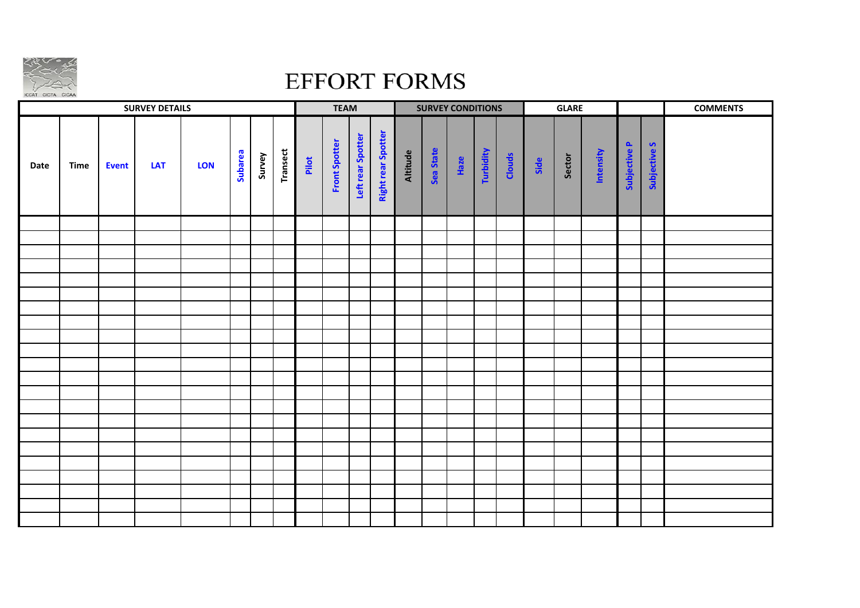

## **EFFORT FORMS**

|      | <b>SURVEY DETAILS</b> |              |     | <b>TEAM</b> |         |        | <b>SURVEY CONDITIONS</b> |       |               |                   | <b>GLARE</b>              |          |           |      |           | <b>COMMENTS</b> |      |        |           |              |              |  |
|------|-----------------------|--------------|-----|-------------|---------|--------|--------------------------|-------|---------------|-------------------|---------------------------|----------|-----------|------|-----------|-----------------|------|--------|-----------|--------------|--------------|--|
| Date | <b>Time</b>           | <b>Event</b> | LAT | <b>LON</b>  | Subarea | Survey | <b>Transect</b>          | Pilot | Front Spotter | Left rear Spotter | <b>Right rear Spotter</b> | Altitude | Sea State | Haze | Turbidity | Clouds          | Side | Sector | Intensity | Subjective P | Subjective S |  |
|      |                       |              |     |             |         |        |                          |       |               |                   |                           |          |           |      |           |                 |      |        |           |              |              |  |
|      |                       |              |     |             |         |        |                          |       |               |                   |                           |          |           |      |           |                 |      |        |           |              |              |  |
|      |                       |              |     |             |         |        |                          |       |               |                   |                           |          |           |      |           |                 |      |        |           |              |              |  |
|      |                       |              |     |             |         |        |                          |       |               |                   |                           |          |           |      |           |                 |      |        |           |              |              |  |
|      |                       |              |     |             |         |        |                          |       |               |                   |                           |          |           |      |           |                 |      |        |           |              |              |  |
|      |                       |              |     |             |         |        |                          |       |               |                   |                           |          |           |      |           |                 |      |        |           |              |              |  |
|      |                       |              |     |             |         |        |                          |       |               |                   |                           |          |           |      |           |                 |      |        |           |              |              |  |
|      |                       |              |     |             |         |        |                          |       |               |                   |                           |          |           |      |           |                 |      |        |           |              |              |  |
|      |                       |              |     |             |         |        |                          |       |               |                   |                           |          |           |      |           |                 |      |        |           |              |              |  |
|      |                       |              |     |             |         |        |                          |       |               |                   |                           |          |           |      |           |                 |      |        |           |              |              |  |
|      |                       |              |     |             |         |        |                          |       |               |                   |                           |          |           |      |           |                 |      |        |           |              |              |  |
|      |                       |              |     |             |         |        |                          |       |               |                   |                           |          |           |      |           |                 |      |        |           |              |              |  |
|      |                       |              |     |             |         |        |                          |       |               |                   |                           |          |           |      |           |                 |      |        |           |              |              |  |
|      |                       |              |     |             |         |        |                          |       |               |                   |                           |          |           |      |           |                 |      |        |           |              |              |  |
|      |                       |              |     |             |         |        |                          |       |               |                   |                           |          |           |      |           |                 |      |        |           |              |              |  |
|      |                       |              |     |             |         |        |                          |       |               |                   |                           |          |           |      |           |                 |      |        |           |              |              |  |
|      |                       |              |     |             |         |        |                          |       |               |                   |                           |          |           |      |           |                 |      |        |           |              |              |  |
|      |                       |              |     |             |         |        |                          |       |               |                   |                           |          |           |      |           |                 |      |        |           |              |              |  |
|      |                       |              |     |             |         |        |                          |       |               |                   |                           |          |           |      |           |                 |      |        |           |              |              |  |
|      |                       |              |     |             |         |        |                          |       |               |                   |                           |          |           |      |           |                 |      |        |           |              |              |  |
|      |                       |              |     |             |         |        |                          |       |               |                   |                           |          |           |      |           |                 |      |        |           |              |              |  |
|      |                       |              |     |             |         |        |                          |       |               |                   |                           |          |           |      |           |                 |      |        |           |              |              |  |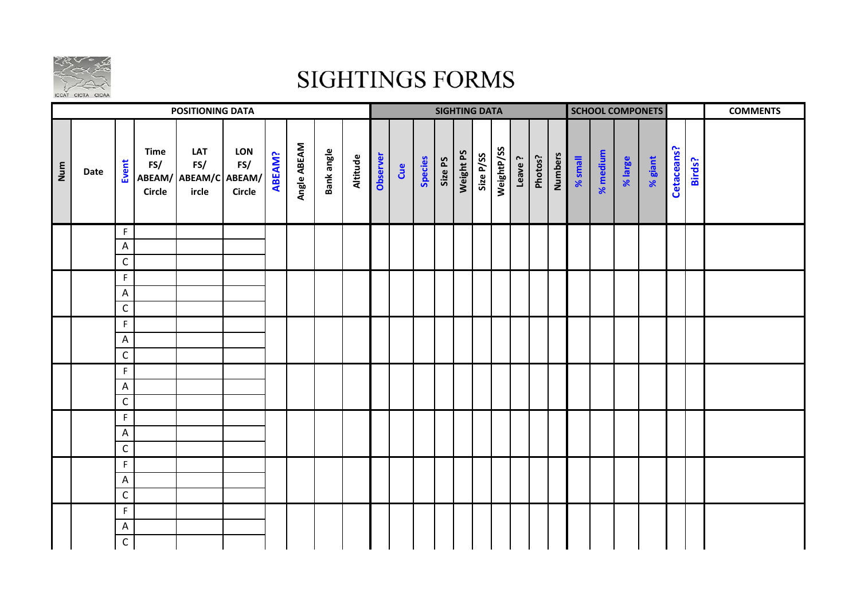

## **SIGHTINGS FORMS**

|     | <b>POSITIONING DATA</b> |                           |                                     |                                              |                                    |               | <b>SIGHTING DATA</b> |            |          |          |     |                |         | <b>SCHOOL COMPONETS</b> |           |            |        |         | <b>COMMENTS</b> |         |          |         |         |            |        |  |
|-----|-------------------------|---------------------------|-------------------------------------|----------------------------------------------|------------------------------------|---------------|----------------------|------------|----------|----------|-----|----------------|---------|-------------------------|-----------|------------|--------|---------|-----------------|---------|----------|---------|---------|------------|--------|--|
| Num | Date                    | Event                     | <b>Time</b><br>FS/<br><b>Circle</b> | LAT<br>FS/<br>ABEAM/ ABEAM/C ABEAM/<br>ircle | <b>LON</b><br>FS/<br><b>Circle</b> | <b>ABEAM?</b> | Angle ABEAM          | Bank angle | Altitude | Observer | Cue | <b>Species</b> | Size PS | Weight PS               | Size P/SS | WeightP/SS | Leave? | Photos? | <b>Numbers</b>  | % small | % medium | % large | % giant | Cetaceans? | Birds? |  |
|     |                         | $\mathsf F$               |                                     |                                              |                                    |               |                      |            |          |          |     |                |         |                         |           |            |        |         |                 |         |          |         |         |            |        |  |
|     |                         | A                         |                                     |                                              |                                    |               |                      |            |          |          |     |                |         |                         |           |            |        |         |                 |         |          |         |         |            |        |  |
|     |                         | $\mathsf C$               |                                     |                                              |                                    |               |                      |            |          |          |     |                |         |                         |           |            |        |         |                 |         |          |         |         |            |        |  |
|     |                         | $\mathsf F$               |                                     |                                              |                                    |               |                      |            |          |          |     |                |         |                         |           |            |        |         |                 |         |          |         |         |            |        |  |
|     |                         | $\boldsymbol{\mathsf{A}}$ |                                     |                                              |                                    |               |                      |            |          |          |     |                |         |                         |           |            |        |         |                 |         |          |         |         |            |        |  |
|     |                         | $\mathsf C$               |                                     |                                              |                                    |               |                      |            |          |          |     |                |         |                         |           |            |        |         |                 |         |          |         |         |            |        |  |
|     |                         | $\mathsf F$               |                                     |                                              |                                    |               |                      |            |          |          |     |                |         |                         |           |            |        |         |                 |         |          |         |         |            |        |  |
|     |                         | $\boldsymbol{\mathsf{A}}$ |                                     |                                              |                                    |               |                      |            |          |          |     |                |         |                         |           |            |        |         |                 |         |          |         |         |            |        |  |
|     |                         | $\mathsf C$               |                                     |                                              |                                    |               |                      |            |          |          |     |                |         |                         |           |            |        |         |                 |         |          |         |         |            |        |  |
|     |                         | $\mathsf F$               |                                     |                                              |                                    |               |                      |            |          |          |     |                |         |                         |           |            |        |         |                 |         |          |         |         |            |        |  |
|     |                         | A                         |                                     |                                              |                                    |               |                      |            |          |          |     |                |         |                         |           |            |        |         |                 |         |          |         |         |            |        |  |
|     |                         | $\mathsf C$               |                                     |                                              |                                    |               |                      |            |          |          |     |                |         |                         |           |            |        |         |                 |         |          |         |         |            |        |  |
|     |                         | $\mathsf F$               |                                     |                                              |                                    |               |                      |            |          |          |     |                |         |                         |           |            |        |         |                 |         |          |         |         |            |        |  |
|     |                         | $\boldsymbol{\mathsf{A}}$ |                                     |                                              |                                    |               |                      |            |          |          |     |                |         |                         |           |            |        |         |                 |         |          |         |         |            |        |  |
|     |                         | $\mathsf C$               |                                     |                                              |                                    |               |                      |            |          |          |     |                |         |                         |           |            |        |         |                 |         |          |         |         |            |        |  |
|     |                         | $\mathsf F$               |                                     |                                              |                                    |               |                      |            |          |          |     |                |         |                         |           |            |        |         |                 |         |          |         |         |            |        |  |
|     |                         | $\boldsymbol{\mathsf{A}}$ |                                     |                                              |                                    |               |                      |            |          |          |     |                |         |                         |           |            |        |         |                 |         |          |         |         |            |        |  |
|     |                         | $\mathsf C$               |                                     |                                              |                                    |               |                      |            |          |          |     |                |         |                         |           |            |        |         |                 |         |          |         |         |            |        |  |
|     |                         | $\mathsf F$               |                                     |                                              |                                    |               |                      |            |          |          |     |                |         |                         |           |            |        |         |                 |         |          |         |         |            |        |  |
|     |                         | A                         |                                     |                                              |                                    |               |                      |            |          |          |     |                |         |                         |           |            |        |         |                 |         |          |         |         |            |        |  |
|     |                         | $\mathsf C$               |                                     |                                              |                                    |               |                      |            |          |          |     |                |         |                         |           |            |        |         |                 |         |          |         |         |            |        |  |